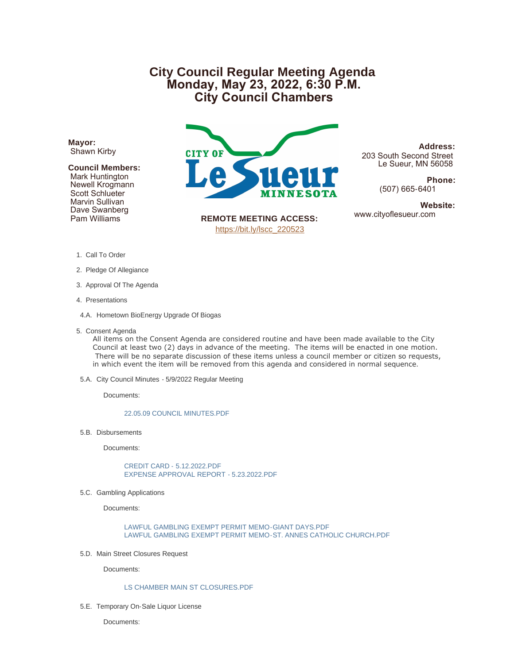# **City Council Regular Meeting Agenda Monday, May 23, 2022, 6:30 P.M. City Council Chambers**

**Mayor:** Shawn Kirby

## **Council Members:**

 Mark Huntington Newell Krogmann Scott Schlueter Marvin Sullivan Dave Swanberg Pam Williams



**Address:** 203 South Second Street Le Sueur, MN 56058

> **Phone:** (507) 665-6401

**Website:**<br>www.cityoflesueur.com

**REMOTE MEETING ACCESS:** [https://bit.ly/lscc\\_220523](https://bit.ly/lscc_220523)

- 1. Call To Order
- 2. Pledge Of Allegiance
- 3. Approval Of The Agenda
- 4. Presentations
- 4.A. Hometown BioEnergy Upgrade Of Biogas
- 5. Consent Agenda

All items on the Consent Agenda are considered routine and have been made available to the City Council at least two (2) days in advance of the meeting. The items will be enacted in one motion. There will be no separate discussion of these items unless a council member or citizen so requests, in which event the item will be removed from this agenda and considered in normal sequence.

5.A. City Council Minutes - 5/9/2022 Regular Meeting

Documents:

#### [22.05.09 COUNCIL MINUTES.PDF](http://cityoflesueur.com/AgendaCenter/ViewFile/Item/2642?fileID=3232)

5.B. Disbursements

Documents:

[CREDIT CARD - 5.12.2022.PDF](http://cityoflesueur.com/AgendaCenter/ViewFile/Item/2643?fileID=3233) [EXPENSE APPROVAL REPORT - 5.23.2022.PDF](http://cityoflesueur.com/AgendaCenter/ViewFile/Item/2643?fileID=3254)

5.C. Gambling Applications

Documents:

[LAWFUL GAMBLING EXEMPT PERMIT MEMO-GIANT DAYS.PDF](http://cityoflesueur.com/AgendaCenter/ViewFile/Item/2645?fileID=3236) [LAWFUL GAMBLING EXEMPT PERMIT MEMO-ST. ANNES CATHOLIC CHURCH.PDF](http://cityoflesueur.com/AgendaCenter/ViewFile/Item/2645?fileID=3237)

5.D. Main Street Closures Request

Documents:

## [LS CHAMBER MAIN ST CLOSURES.PDF](http://cityoflesueur.com/AgendaCenter/ViewFile/Item/2644?fileID=3255)

5.E. Temporary On-Sale Liquor License

Documents: